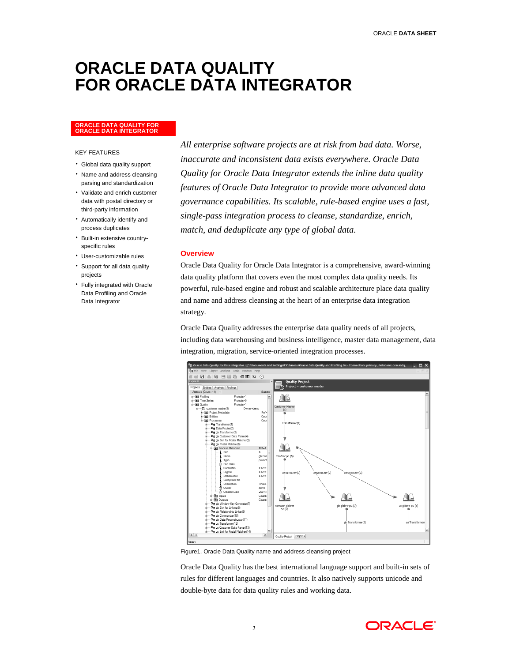# **ORACLE DATA QUALITY FOR ORACLE DATA INTEGRATOR**

# **ORACLE DATA QUALITY FOR ORACLE DATA INTEGRATOR**

#### KEY FEATURES

- Global data quality support
- Name and address cleansing parsing and standardization
- Validate and enrich customer data with postal directory or third-party information
- Automatically identify and process duplicates
- Built-in extensive countryspecific rules
- User-customizable rules
- Support for all data quality projects
- Fully integrated with Oracle Data Profiling and Oracle Data Integrator

*All enterprise software projects are at risk from bad data. Worse, inaccurate and inconsistent data exists everywhere. Oracle Data Quality for Oracle Data Integrator extends the inline data quality features of Oracle Data Integrator to provide more advanced data governance capabilities. Its scalable, rule-based engine uses a fast, single-pass integration process to cleanse, standardize, enrich, match, and deduplicate any type of global data.* 

#### **Overview**

Oracle Data Quality for Oracle Data Integrator is a comprehensive, award-winning data quality platform that covers even the most complex data quality needs. Its powerful, rule-based engine and robust and scalable architecture place data quality and name and address cleansing at the heart of an enterprise data integration strategy.

Oracle Data Quality addresses the enterprise data quality needs of all projects, including data warehousing and business intelligence, master data management, data integration, migration, service-oriented integration processes.



Figure1. Oracle Data Quality name and address cleansing project

Oracle Data Quality has the best international language support and built-in sets of rules for different languages and countries. It also natively supports unicode and double-byte data for data quality rules and working data.